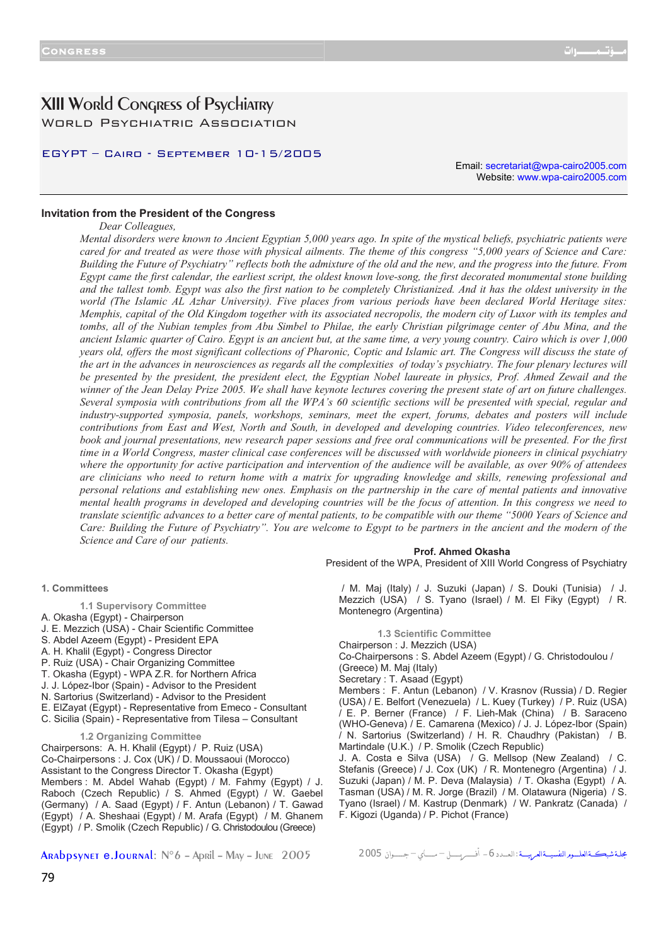# XIII World Congress of Psychiatry World Psychiatric Association

# EGYPT – Cairo - September 10-15/2005

Email: secretariat@wpa-cairo2005.com Website: www.wpa-cairo2005.com

# **Invitation from the President of the Congress**

*Dear Colleagues,* 

*Mental disorders were known to Ancient Egyptian 5,000 years ago. In spite of the mystical beliefs, psychiatric patients were cared for and treated as were those with physical ailments. The theme of this congress "5,000 years of Science and Care: Building the Future of Psychiatry" reflects both the admixture of the old and the new, and the progress into the future. From Egypt came the first calendar, the earliest script, the oldest known love-song, the first decorated monumental stone building and the tallest tomb. Egypt was also the first nation to be completely Christianized. And it has the oldest university in the world (The Islamic AL Azhar University). Five places from various periods have been declared World Heritage sites: Memphis, capital of the Old Kingdom together with its associated necropolis, the modern city of Luxor with its temples and tombs, all of the Nubian temples from Abu Simbel to Philae, the early Christian pilgrimage center of Abu Mina, and the ancient Islamic quarter of Cairo. Egypt is an ancient but, at the same time, a very young country. Cairo which is over 1,000 years old, offers the most significant collections of Pharonic, Coptic and Islamic art. The Congress will discuss the state of the art in the advances in neurosciences as regards all the complexities of today's psychiatry. The four plenary lectures will* be presented by the president, the president elect, the Egyptian Nobel laureate in physics, Prof. Ahmed Zewail and the *winner of the Jean Delay Prize 2005. We shall have keynote lectures covering the present state of art on future challenges. Several symposia with contributions from all the WPA's 60 scientific sections will be presented with special, regular and industry-supported symposia, panels, workshops, seminars, meet the expert, forums, debates and posters will include contributions from East and West, North and South, in developed and developing countries. Video teleconferences, new book and journal presentations, new research paper sessions and free oral communications will be presented. For the first time in a World Congress, master clinical case conferences will be discussed with worldwide pioneers in clinical psychiatry where the opportunity for active participation and intervention of the audience will be available, as over 90% of attendees are clinicians who need to return home with a matrix for upgrading knowledge and skills, renewing professional and personal relations and establishing new ones. Emphasis on the partnership in the care of mental patients and innovative mental health programs in developed and developing countries will be the focus of attention. In this congress we need to translate scientific advances to a better care of mental patients, to be compatible with our theme "5000 Years of Science and Care: Building the Future of Psychiatry". You are welcome to Egypt to be partners in the ancient and the modern of the Science and Care of our patients.*

# **Prof. Ahmed Okasha**

President of the WPA, President of XIII World Congress of Psychiatry

#### **1. Committees**

- **1.1 Supervisory Committee**
- A. Okasha (Egypt) Chairperson
- J. E. Mezzich (USA) Chair Scientific Committee
- S. Abdel Azeem (Egypt) President EPA
- A. H. Khalil (Egypt) Congress Director
- P. Ruiz (USA) Chair Organizing Committee
- T. Okasha (Egypt) WPA Z.R. for Northern Africa
- J. J. López-Ibor (Spain) Advisor to the President
- N. Sartorius (Switzerland) Advisor to the President
- E. ElZayat (Egypt) Representative from Emeco Consultant
- C. Sicilia (Spain) Representative from Tilesa Consultant

#### **1.2 Organizing Committee**

Chairpersons: A. H. Khalil (Egypt) / P. Ruiz (USA) Co-Chairpersons : J. Cox (UK) / D. Moussaoui (Morocco) Assistant to the Congress Director T. Okasha (Egypt) Members : M. Abdel Wahab (Egypt) / M. Fahmy (Egypt) / J. Raboch (Czech Republic) / S. Ahmed (Egypt) / W. Gaebel (Germany) / A. Saad (Egypt) / F. Antun (Lebanon) / T. Gawad (Egypt) / A. Sheshaai (Egypt) / M. Arafa (Egypt) / M. Ghanem (Egypt) / P. Smolik (Czech Republic) / G. Christodoulou (Greece)

/ M. Maj (Italy) / J. Suzuki (Japan) / S. Douki (Tunisia) / J. Mezzich (USA) / S. Tyano (Israel) / M. El Fiky (Egypt) / R. Montenegro (Argentina)

**1.3 Scientific Committee**

Chairperson : J. Mezzich (USA)

Co-Chairpersons : S. Abdel Azeem (Egypt) / G. Christodoulou / (Greece) M. Maj (Italy)

Secretary : T. Asaad (Egypt)

Members : F. Antun (Lebanon) / V. Krasnov (Russia) / D. Regier (USA) / E. Belfort (Venezuela) / L. Kuey (Turkey) / P. Ruiz (USA) / E. P. Berner (France) / F. Lieh-Mak (China) / B. Saraceno (WHO-Geneva) / E. Camarena (Mexico) / J. J. López-Ibor (Spain) / N. Sartorius (Switzerland) / H. R. Chaudhry (Pakistan) / B. Martindale (U.K.) / P. Smolik (Czech Republic)

J. A. Costa e Silva (USA) / G. Mellsop (New Zealand) / C. Stefanis (Greece) / J. Cox (UK) / R. Montenegro (Argentina) / J. Suzuki (Japan) / M. P. Deva (Malaysia) / T. Okasha (Egypt) / A. Tasman (USA) / M. R. Jorge (Brazil) / M. Olatawura (Nigeria) / S. Tyano (Israel) / M. Kastrup (Denmark) / W. Pankratz (Canada) / F. Kigozi (Uganda) / P. Pichot (France)

Arabpsynet e.Journal: N°6 – April – May – June 2005 2005 جـــــــــوان – مــــــــاي – أفــــــــريـــــــــل -6الـعــــدد: شبكـــةالعلــــــومالنفسيــــةالعربيـــــة مجلــة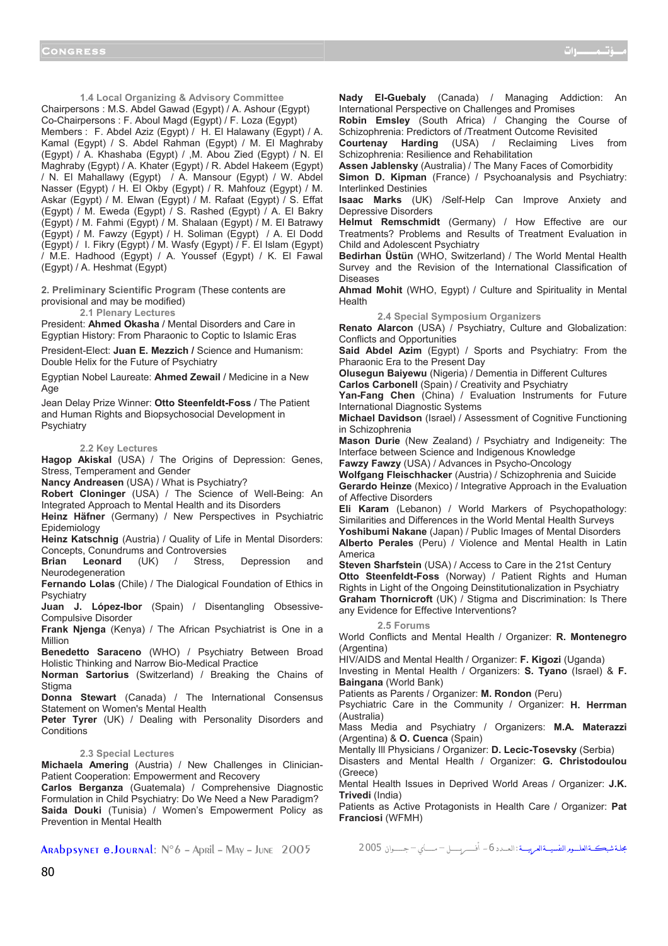**1.4 Local Organizing & Advisory Committee** Chairpersons : M.S. Abdel Gawad (Egypt) / A. Ashour (Egypt) Co-Chairpersons : F. Aboul Magd (Egypt) / F. Loza (Egypt) Members : F. Abdel Aziz (Egypt) / H. El Halawany (Egypt) / A. Kamal (Egypt) / S. Abdel Rahman (Egypt) / M. El Maghraby (Egypt) / A. Khashaba (Egypt) / ,M. Abou Zied (Egypt) / N. El Maghraby (Egypt) / A. Khater (Egypt) / R. Abdel Hakeem (Egypt) / N. El Mahallawy (Egypt) / A. Mansour (Egypt) / W. Abdel Nasser (Egypt) / H. El Okby (Egypt) / R. Mahfouz (Egypt) / M. Askar (Egypt) / M. Elwan (Egypt) / M. Rafaat (Egypt) / S. Effat (Egypt) / M. Eweda (Egypt) / S. Rashed (Egypt) / A. El Bakry (Egypt) / M. Fahmi (Egypt) / M. Shalaan (Egypt) / M. El Batrawy (Egypt) / M. Fawzy (Egypt) / H. Soliman (Egypt) / A. El Dodd (Egypt) / I. Fikry (Egypt) / M. Wasfy (Egypt) / F. El Islam (Egypt) / M.E. Hadhood (Egypt) / A. Youssef (Egypt) / K. El Fawal (Egypt) / A. Heshmat (Egypt)

**2. Preliminary Scientific Program (**These contents are provisional and may be modified)

**2.1 Plenary Lectures** 

President: **Ahmed Okasha** / Mental Disorders and Care in Egyptian History: From Pharaonic to Coptic to Islamic Eras

President-Elect: **Juan E. Mezzich /** Science and Humanism: Double Helix for the Future of Psychiatry

Egyptian Nobel Laureate: **Ahmed Zewail** / Medicine in a New Age

Jean Delay Prize Winner: **Otto Steenfeldt-Foss** / The Patient and Human Rights and Biopsychosocial Development in **Psychiatry** 

# **2.2 Key Lectures**

**Hagop Akiskal** (USA) / The Origins of Depression: Genes, Stress, Temperament and Gender

**Nancy Andreasen** (USA) / What is Psychiatry?

**Robert Cloninger** (USA) / The Science of Well-Being: An Integrated Approach to Mental Health and its Disorders

**Heinz Häfner** (Germany) / New Perspectives in Psychiatric Epidemiology

**Heinz Katschnig** (Austria) / Quality of Life in Mental Disorders: Concepts, Conundrums and Controversies

**Brian Leonard** (UK) / Stress, Depression and Neurodegeneration

**Fernando Lolas** (Chile) / The Dialogical Foundation of Ethics in **Psychiatry** 

**Juan J. López-Ibor** (Spain) / Disentangling Obsessive-Compulsive Disorder

**Frank Njenga** (Kenya) / The African Psychiatrist is One in a Million

**Benedetto Saraceno** (WHO) / Psychiatry Between Broad Holistic Thinking and Narrow Bio-Medical Practice

**Norman Sartorius** (Switzerland) / Breaking the Chains of **Stigma** 

**Donna Stewart** (Canada) / The International Consensus Statement on Women's Mental Health

Peter Tyrer (UK) / Dealing with Personality Disorders and **Conditions** 

# **2.3 Special Lectures**

**Michaela Amering** (Austria) / New Challenges in Clinician-Patient Cooperation: Empowerment and Recovery

**Carlos Berganza** (Guatemala) / Comprehensive Diagnostic Formulation in Child Psychiatry: Do We Need a New Paradigm? **Saida Douki** (Tunisia) / Women's Empowerment Policy as Prevention in Mental Health

**Nady El-Guebaly** (Canada) / Managing Addiction: An International Perspective on Challenges and Promises

**Robin Emsley** (South Africa) / Changing the Course of Schizophrenia: Predictors of /Treatment Outcome Revisited

**Courtenay Harding** (USA) / Reclaiming Lives from Schizophrenia: Resilience and Rehabilitation

**Assen Jablensky** (Australia) / The Many Faces of Comorbidity

**Simon D. Kipman** (France) / Psychoanalysis and Psychiatry: Interlinked Destinies

**Isaac Marks** (UK) /Self-Help Can Improve Anxiety and Depressive Disorders

**Helmut Remschmidt** (Germany) / How Effective are our Treatments? Problems and Results of Treatment Evaluation in Child and Adolescent Psychiatry

**Bedirhan Üstün** (WHO, Switzerland) / The World Mental Health Survey and the Revision of the International Classification of Diseases

**Ahmad Mohit** (WHO, Egypt) / Culture and Spirituality in Mental Health

**2.4 Special Symposium Organizers** 

**Renato Alarcon** (USA) / Psychiatry, Culture and Globalization: Conflicts and Opportunities

**Said Abdel Azim** (Egypt) / Sports and Psychiatry: From the Pharaonic Era to the Present Day

**Olusegun Baiyewu** (Nigeria) / Dementia in Different Cultures **Carlos Carbonell** (Spain) / Creativity and Psychiatry

**Yan-Fang Chen** (China) / Evaluation Instruments for Future International Diagnostic Systems

**Michael Davidson** (Israel) / Assessment of Cognitive Functioning in Schizophrenia

**Mason Durie** (New Zealand) / Psychiatry and Indigeneity: The Interface between Science and Indigenous Knowledge

**Fawzy Fawzy** (USA) / Advances in Psycho-Oncology

**Wolfgang Fleischhacker** (Austria) / Schizophrenia and Suicide **Gerardo Heinze** (Mexico) / Integrative Approach in the Evaluation of Affective Disorders

**Eli Karam** (Lebanon) / World Markers of Psychopathology: Similarities and Differences in the World Mental Health Surveys

**Yoshibumi Nakane** (Japan) / Public Images of Mental Disorders **Alberto Perales** (Peru) / Violence and Mental Health in Latin America

**Steven Sharfstein** (USA) / Access to Care in the 21st Century **Otto Steenfeldt-Foss** (Norway) / Patient Rights and Human Rights in Light of the Ongoing Deinstitutionalization in Psychiatry **Graham Thornicroft** (UK) / Stigma and Discrimination: Is There any Evidence for Effective Interventions?

**2.5 Forums** 

World Conflicts and Mental Health / Organizer: **R. Montenegro**  (Argentina)

HIV/AIDS and Mental Health / Organizer: **F. Kigozi** (Uganda)

Investing in Mental Health / Organizers: **S. Tyano** (Israel) & **F. Baingana** (World Bank)

Patients as Parents / Organizer: **M. Rondon** (Peru)

Psychiatric Care in the Community / Organizer: **H. Herrman**  (Australia)

Mass Media and Psychiatry / Organizers: **M.A. Materazzi**  (Argentina) & **O. Cuenca** (Spain)

Mentally Ill Physicians / Organizer: **D. Lecic-Tosevsky** (Serbia)

Disasters and Mental Health / Organizer: **G. Christodoulou**  (Greece)

Mental Health Issues in Deprived World Areas / Organizer: **J.K. Trivedi** (India)

Patients as Active Protagonists in Health Care / Organizer: **Pat Franciosi** (WFMH)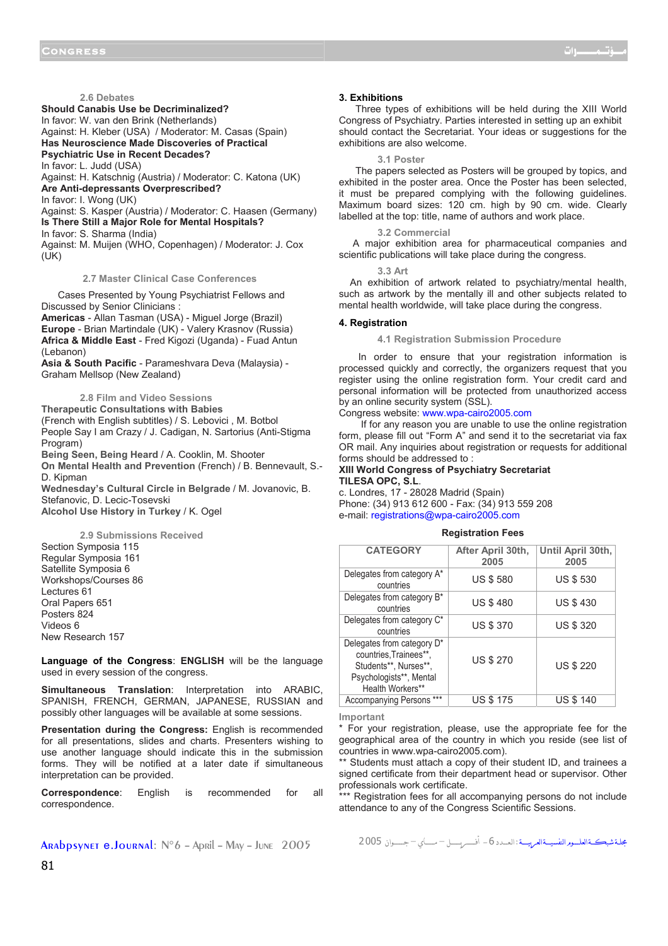**2.6 Debates**

**Should Canabis Use be Decriminalized?** 

In favor: W. van den Brink (Netherlands)

Against: H. Kleber (USA) / Moderator: M. Casas (Spain) **Has Neuroscience Made Discoveries of Practical** 

**Psychiatric Use in Recent Decades?** 

In favor: L. Judd (USA)

Against: H. Katschnig (Austria) / Moderator: C. Katona (UK) **Are Anti-depressants Overprescribed?** 

In favor: I. Wong (UK)

Against: S. Kasper (Austria) / Moderator: C. Haasen (Germany) **Is There Still a Major Role for Mental Hospitals?** 

In favor: S. Sharma (India)

Against: M. Muijen (WHO, Copenhagen) / Moderator: J. Cox  $(UK)$ 

**2.7 Master Clinical Case Conferences** 

 Cases Presented by Young Psychiatrist Fellows and Discussed by Senior Clinicians : **Americas** - Allan Tasman (USA) - Miguel Jorge (Brazil)

**Europe** - Brian Martindale (UK) - Valery Krasnov (Russia) **Africa & Middle East** - Fred Kigozi (Uganda) - Fuad Antun (Lebanon)

**Asia & South Pacific** - Parameshvara Deva (Malaysia) - Graham Mellsop (New Zealand)

**2.8 Film and Video Sessions Therapeutic Consultations with Babies**  (French with English subtitles) / S. Lebovici , M. Botbol People Say I am Crazy / J. Cadigan, N. Sartorius (Anti-Stigma Program) **Being Seen, Being Heard** / A. Cooklin, M. Shooter

**On Mental Health and Prevention** (French) / B. Bennevault, S.- D. Kipman

**Wednesday's Cultural Circle in Belgrade** / M. Jovanovic, B. Stefanovic, D. Lecic-Tosevski

**Alcohol Use History in Turkey** / K. Ogel

**2.9 Submissions Received** Section Symposia 115 Regular Symposia 161 Satellite Symposia 6 Workshops/Courses 86 Lectures 61 Oral Papers 651 Posters 824 Videos 6 New Research 157

**Language of the Congress**: **ENGLISH** will be the language used in every session of the congress.

**Simultaneous Translation**: Interpretation into ARABIC, SPANISH, FRENCH, GERMAN, JAPANESE, RUSSIAN and possibly other languages will be available at some sessions.

**Presentation during the Congress:** English is recommended for all presentations, slides and charts. Presenters wishing to use another language should indicate this in the submission forms. They will be notified at a later date if simultaneous interpretation can be provided.

**Correspondence**: English is recommended for all correspondence.

#### **3. Exhibitions**

 Three types of exhibitions will be held during the XIII World Congress of Psychiatry. Parties interested in setting up an exhibit should contact the Secretariat. Your ideas or suggestions for the exhibitions are also welcome.

**3.1 Poster** 

 The papers selected as Posters will be grouped by topics, and exhibited in the poster area. Once the Poster has been selected, it must be prepared complying with the following guidelines. Maximum board sizes: 120 cm. high by 90 cm. wide. Clearly labelled at the top: title, name of authors and work place.

#### **3.2 Commercial**

 A major exhibition area for pharmaceutical companies and scientific publications will take place during the congress.

**3.3 Art** 

 An exhibition of artwork related to psychiatry/mental health, such as artwork by the mentally ill and other subjects related to mental health worldwide, will take place during the congress.

# **4. Registration**

**4.1 Registration Submission Procedure** 

 In order to ensure that your registration information is processed quickly and correctly, the organizers request that you register using the online registration form. Your credit card and personal information will be protected from unauthorized access by an online security system (SSL).

# Congress website: www.wpa-cairo2005.com

 If for any reason you are unable to use the online registration form, please fill out "Form A" and send it to the secretariat via fax OR mail. Any inquiries about registration or requests for additional forms should be addressed to :

# **XIII World Congress of Psychiatry Secretariat TILESA OPC, S.L**.

c. Londres, 17 - 28028 Madrid (Spain) Phone: (34) 913 612 600 - Fax: (34) 913 559 208 e-mail: registrations@wpa-cairo2005.com

#### **Registration Fees**

| <b>CATEGORY</b>                                                                                                              | After April 30th,<br>2005 | Until April 30th,<br>2005 |  |  |  |
|------------------------------------------------------------------------------------------------------------------------------|---------------------------|---------------------------|--|--|--|
| Delegates from category A*<br>countries                                                                                      | <b>US \$580</b>           | <b>US \$530</b>           |  |  |  |
| Delegates from category B*<br>countries                                                                                      | <b>US \$480</b>           | <b>US \$430</b>           |  |  |  |
| Delegates from category C*<br>countries                                                                                      | <b>US \$370</b>           | <b>US \$ 320</b>          |  |  |  |
| Delegates from category D*<br>countries, Trainees**,<br>Students**, Nurses**,<br>Psychologists**, Mental<br>Health Workers** | <b>US \$ 270</b>          | <b>US \$ 220</b>          |  |  |  |
| Accompanying Persons ***                                                                                                     | <b>US \$ 175</b>          | <b>US \$ 140</b>          |  |  |  |

**Important**

\* For your registration, please, use the appropriate fee for the geographical area of the country in which you reside (see list of countries in www.wpa-cairo2005.com).

Students must attach a copy of their student ID, and trainees a signed certificate from their department head or supervisor. Other professionals work certificate.

\*\*\* Registration fees for all accompanying persons do not include attendance to any of the Congress Scientific Sessions.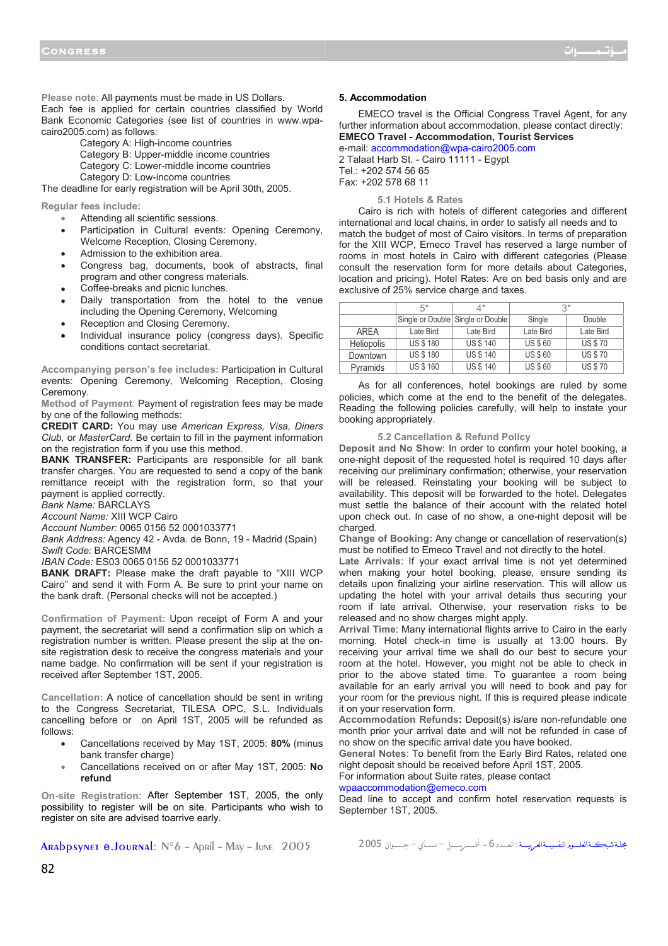**Please note**: All payments must be made in US Dollars. Each fee is applied for certain countries classified by World Bank Economic Categories (see list of countries in www.wpacairo2005.com) as follows:

Category A: High-income countries

Category B: Upper-middle income countries Category C: Lower-middle income countries Category D: Low-income countries

The deadline for early registration will be April 30th, 2005.

**Regular fees include:**

- Attending all scientific sessions.
- Participation in Cultural events: Opening Ceremony, Welcome Reception, Closing Ceremony.
- Admission to the exhibition area.
- Congress bag, documents, book of abstracts, final program and other congress materials.
- Coffee-breaks and picnic lunches.
- Daily transportation from the hotel to the venue including the Opening Ceremony, Welcoming
- Reception and Closing Ceremony.
- Individual insurance policy (congress days). Specific conditions contact secretariat.

**Accompanying person's fee includes:** Participation in Cultural events: Opening Ceremony, Welcoming Reception, Closing Ceremony.

**Method of Payment**: Payment of registration fees may be made by one of the following methods:

**CREDIT CARD:** You may use *American Express, Visa, Diners Club,* or *MasterCard.* Be certain to fill in the payment information on the registration form if you use this method.

**BANK TRANSFER:** Participants are responsible for all bank transfer charges. You are requested to send a copy of the bank remittance receipt with the registration form, so that your payment is applied correctly.

*Bank Name:* BARCLAYS

*Account Name:* XIII WCP Cairo

*Account Number:* 0065 0156 52 0001033771

*Bank Address:* Agency 42 - Avda. de Bonn, 19 - Madrid (Spain) *Swift Code:* BARCESMM

*IBAN Code:* ES03 0065 0156 52 0001033771

**BANK DRAFT:** Please make the draft payable to "XIII WCP Cairo" and send it with Form A. Be sure to print your name on the bank draft. (Personal checks will not be accepted.)

**Confirmation of Payment:** Upon receipt of Form A and your payment, the secretariat will send a confirmation slip on which a registration number is written. Please present the slip at the onsite registration desk to receive the congress materials and your name badge. No confirmation will be sent if your registration is received after September 1ST, 2005.

**Cancellation:** A notice of cancellation should be sent in writing to the Congress Secretariat, TILESA OPC, S.L. Individuals cancelling before or on April 1ST, 2005 will be refunded as follows:

- Cancellations received by May 1ST, 2005: **80%** (minus bank transfer charge)
- Cancellations received on or after May 1ST, 2005: **No refund**

**On-site Registration:** After September 1ST, 2005, the only possibility to register will be on site. Participants who wish to register on site are advised toarrive early.

#### **5. Accommodation**

 EMECO travel is the Official Congress Travel Agent, for any further information about accommodation, please contact directly: **EMECO Travel - Accommodation, Tourist Services** 

e-mail: accommodation@wpa-cairo2005.com 2 Talaat Harb St. - Cairo 11111 - Egypt Tel.: +202 574 56 65 Fax: +202 578 68 11

#### **5.1 Hotels & Rates**

 Cairo is rich with hotels of different categories and different international and local chains, in order to satisfy all needs and to match the budget of most of Cairo visitors. In terms of preparation for the XIII WCP, Emeco Travel has reserved a large number of rooms in most hotels in Cairo with different categories (Please consult the reservation form for more details about Categories, location and pricing). Hotel Rates: Are on bed basis only and are exclusive of 25% service charge and taxes.

|                   | $5*$            | ∆*                                | J*             |                |
|-------------------|-----------------|-----------------------------------|----------------|----------------|
|                   |                 | Single or Double Single or Double | Single         | Double         |
| AREA              | Late Bird       | Late Bird                         | Late Bird      | Late Bird      |
| <b>Heliopolis</b> | <b>US \$180</b> | <b>US \$ 140</b>                  | <b>US \$60</b> | <b>US \$70</b> |
| Downtown          | <b>US \$180</b> | <b>US \$ 140</b>                  | <b>US \$60</b> | <b>US \$70</b> |
| Pyramids          | <b>US \$160</b> | <b>US \$ 140</b>                  | <b>US \$60</b> | <b>US \$70</b> |

 As for all conferences, hotel bookings are ruled by some policies, which come at the end to the benefit of the delegates. Reading the following policies carefully, will help to instate your booking appropriately.

## **5.2 Cancellation & Refund Policy**

**Deposit and No Show**: In order to confirm your hotel booking, a one-night deposit of the requested hotel is required 10 days after receiving our preliminary confirmation; otherwise, your reservation will be released. Reinstating your booking will be subject to availability. This deposit will be forwarded to the hotel. Delegates must settle the balance of their account with the related hotel upon check out. In case of no show, a one-night deposit will be charged.

**Change of Booking:** Any change or cancellation of reservation(s) must be notified to Emeco Travel and not directly to the hotel.

**Late Arrivals**: If your exact arrival time is not yet determined when making your hotel booking, please, ensure sending its details upon finalizing your airline reservation. This will allow us updating the hotel with your arrival details thus securing your room if late arrival. Otherwise, your reservation risks to be released and no show charges might apply.

**Arrival Time**: Many international flights arrive to Cairo in the early morning. Hotel check-in time is usually at 13:00 hours. By receiving your arrival time we shall do our best to secure your room at the hotel. However, you might not be able to check in prior to the above stated time. To guarantee a room being available for an early arrival you will need to book and pay for your room for the previous night. If this is required please indicate it on your reservation form.

**Accommodation Refunds:** Deposit(s) is/are non-refundable one month prior your arrival date and will not be refunded in case of no show on the specific arrival date you have booked.

**General Notes**: To benefit from the Early Bird Rates, related one night deposit should be received before April 1ST, 2005.

For information about Suite rates, please contact

wpaaccommodation@emeco.com

Dead line to accept and confirm hotel reservation requests is September 1ST, 2005.